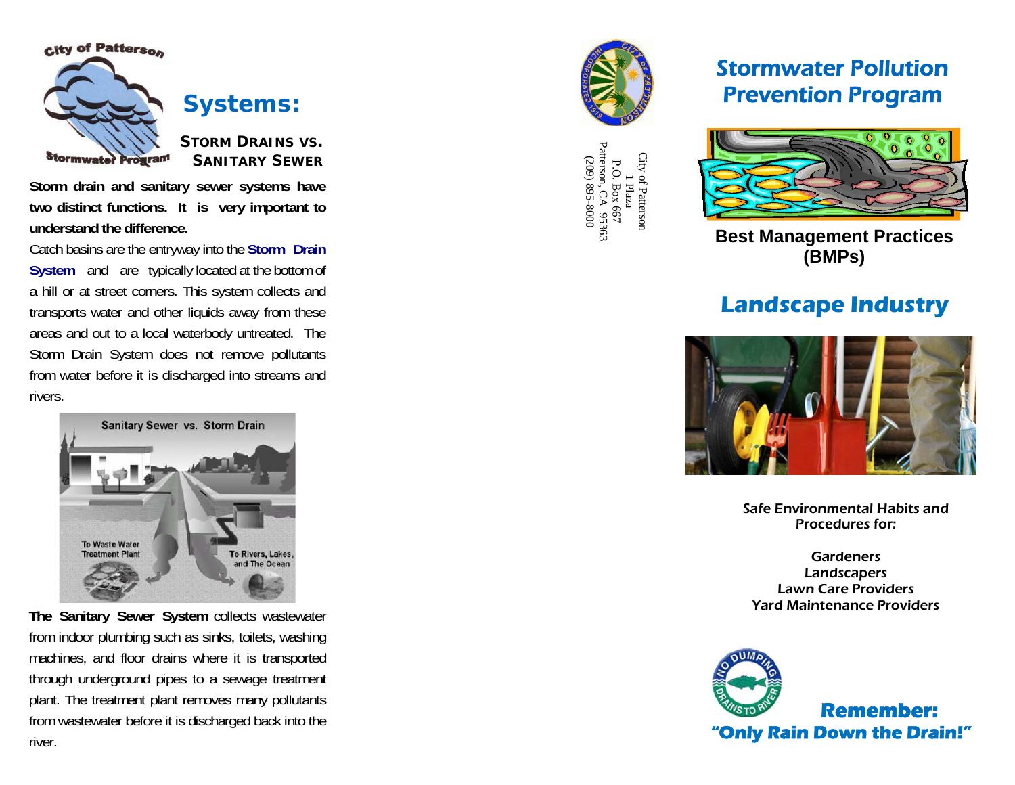

**Systems:** 

**STORM DRAINS VS. SANITARY SEWER**

**Storm drain and sanitary sewer systems have two distinct functions. It is very important to understand the difference.**

Catch basins are the entryway into the **Storm Drain System** and are typically located at the bottom of a hill or at street corners. This system collects and transports water and other liquids away from these areas and out to a local waterbody untreated. The Storm Drain System does not remove pollutants from water before it is discharged into streams and rivers.

> Sanitary Sewer vs. Storm Drain **To Waste Water Treatment Plan** To Rivers, Lakes and The Ocean

**The Sanitary Sewer System** collects wastewater from indoor plumbing such as sinks, toilets, washing machines, and floor drains where it is transported through underground pipes to a sewage treatment plant. The treatment plant removes many pollutants from wastewater before it is discharged back into the river.



City of Patterson City of Patterson<br>
1 Plaza<br>
P.O. Box 667<br>
Patterson, CA 95363<br>
(209) 895-8000<br>
(209) 895-8000 P.O. Box 667 Patterson, CA 95363 (209) 895-8000

# Stormwater Pollution Prevention Program



**Best Management Practices (BMPs)**

# **Landscape Industry**



Safe Environmental Habits and Procedures for:

**Gardeners** Landscapers Lawn Care Providers Yard Maintenance Providers